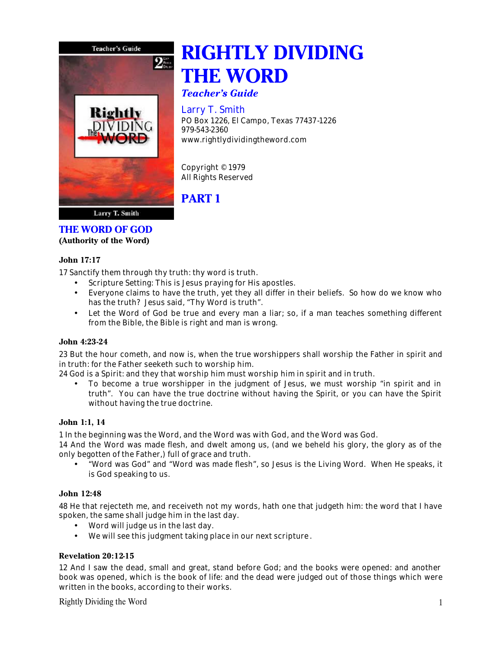

# **RIGHTLY DIVIDING THE WORD**

*Teacher's Guide*

# Larry T. Smith

PO Box 1226, El Campo, Texas 77437-1226 979-543-2360 www.rightlydividingtheword.com

Copyright © 1979 All Rights Reserved

# **PART 1**

# **THE WORD OF GOD**

**(Authority of the Word)**

# **John 17:17**

17 Sanctify them through thy truth: thy word is truth.

- Scripture Setting: This is Jesus praying for His apostles.
- Everyone claims to have the truth, yet they all differ in their beliefs. So how do we know who has the truth? Jesus said, "Thy Word is truth".
- Let the Word of God be true and every man a liar; so, if a man teaches something different from the Bible, the Bible is right and man is wrong.

# **John 4:23-24**

23 But the hour cometh, and now is, when the true worshippers shall worship the Father in spirit and in truth: for the Father seeketh such to worship him.

24 God is a Spirit: and they that worship him must worship him in spirit and in truth.

• To become a true worshipper in the judgment of Jesus, we must worship "in spirit and in truth". You can have the true doctrine without having the Spirit, or you can have the Spirit without having the true doctrine.

# **John 1:1, 14**

1 In the beginning was the Word, and the Word was with God, and the Word was God.

14 And the Word was made flesh, and dwelt among us, (and we beheld his glory, the glory as of the only begotten of the Father,) full of grace and truth.

• "Word was God" and "Word was made flesh", so Jesus is the Living Word. When He speaks, it is God speaking to us.

# **John 12:48**

48 He that rejecteth me, and receiveth not my words, hath one that judgeth him: the word that I have spoken, the same shall judge him in the last day.

- Word will judge us in the last day.
- We will see this judgment taking place in our next scripture .

# **Revelation 20:12-15**

12 And I saw the dead, small and great, stand before God; and the books were opened: and another book was opened, which is the book of life: and the dead were judged out of those things which were written in the books, according to their works.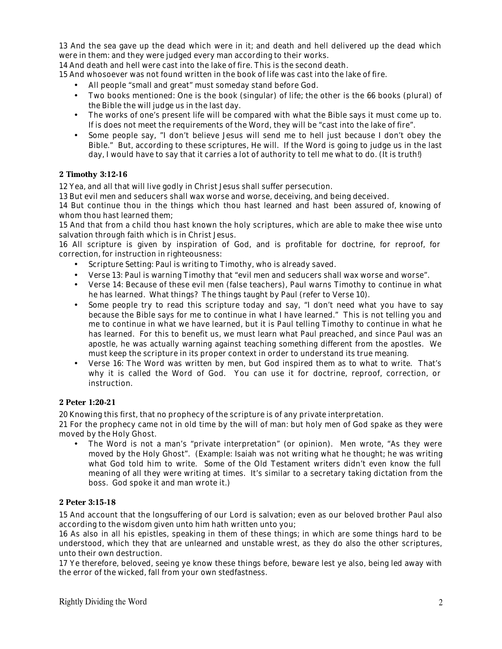13 And the sea gave up the dead which were in it; and death and hell delivered up the dead which were in them: and they were judged every man according to their works.

14 And death and hell were cast into the lake of fire. This is the second death.

15 And whosoever was not found written in the book of life was cast into the lake of fire.

- All people "small and great" must someday stand before God.
- Two books mentioned: One is the book (singular) of life; the other is the 66 books (plural) of the Bible the will judge us in the last day.
- The works of one's present life will be compared with what the Bible says it must come up to. If is does not meet the requirements of the Word, they will be "cast into the lake of fire".
- Some people say, "I don't believe Jesus will send me to hell just because I don't obey the Bible." But, according to these scriptures, He will. If the Word is going to judge us in the last day, I would have to say that it carries a lot of authority to tell me what to do. (It is truth!)

#### **2 Timothy 3:12-16**

12 Yea, and all that will live godly in Christ Jesus shall suffer persecution.

13 But evil men and seducers shall wax worse and worse, deceiving, and being deceived.

14 But continue thou in the things which thou hast learned and hast been assured of, knowing of whom thou hast learned them;

15 And that from a child thou hast known the holy scriptures, which are able to make thee wise unto salvation through faith which is in Christ Jesus.

16 All scripture is given by inspiration of God, and is profitable for doctrine, for reproof, for correction, for instruction in righteousness:

- Scripture Setting: Paul is writing to Timothy, who is already saved.
- Verse 13: Paul is warning Timothy that "evil men and seducers shall wax worse and worse".
- Verse 14: Because of these evil men (false teachers), Paul warns Timothy to continue in what he has learned. What things? The things taught by Paul (refer to Verse 10).
- Some people try to read this scripture today and say, "I don't need what you have to say because the Bible says for me to continue in what I have learned." This is not telling you and me to continue in what we have learned, but it is Paul telling Timothy to continue in what he has learned. For this to benefit us, we must learn what Paul preached, and since Paul was an apostle, he was actually warning against teaching something different from the apostles. We must keep the scripture in its proper context in order to understand its true meaning.
- Verse 16: The Word was written by men, but God inspired them as to what to write. That's why it is called the Word of God. You can use it for doctrine, reproof, correction, or instruction.

#### **2 Peter 1:20-21**

20 Knowing this first, that no prophecy of the scripture is of any private interpretation.

21 For the prophecy came not in old time by the will of man: but holy men of God spake as they were moved by the Holy Ghost.

• The Word is not a man's "private interpretation" (or opinion). Men wrote, "As they were moved by the Holy Ghost". (Example: Isaiah was not writing what he thought; he was writing what God told him to write. Some of the Old Testament writers didn't even know the full meaning of all they were writing at times. It's similar to a secretary taking dictation from the boss. God spoke it and man wrote it.)

#### **2 Peter 3:15-18**

15 And account that the longsuffering of our Lord is salvation; even as our beloved brother Paul also according to the wisdom given unto him hath written unto you;

16 As also in all his epistles, speaking in them of these things; in which are some things hard to be understood, which they that are unlearned and unstable wrest, as they do also the other scriptures, unto their own destruction.

17 Ye therefore, beloved, seeing ye know these things before, beware lest ye also, being led away with the error of the wicked, fall from your own stedfastness.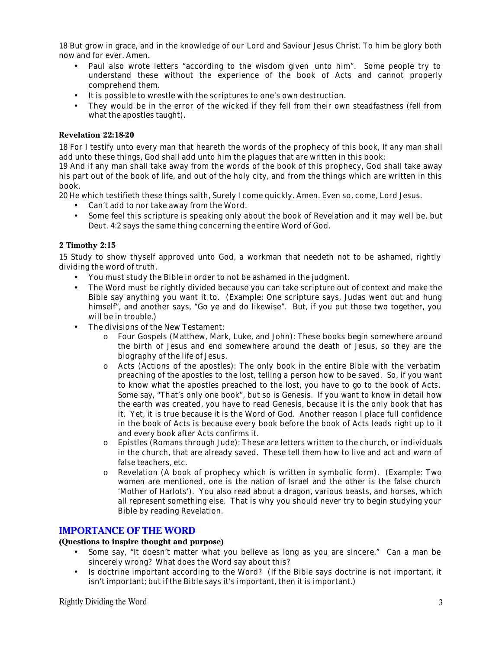18 But grow in grace, and in the knowledge of our Lord and Saviour Jesus Christ. To him be glory both now and for ever. Amen.

- Paul also wrote letters "according to the wisdom given unto him". Some people try to understand these without the experience of the book of Acts and cannot properly comprehend them.
- It is possible to wrestle with the scriptures to one's own destruction.
- They would be in the error of the wicked if they fell from their own steadfastness (fell from what the apostles taught).

#### **Revelation 22:18-20**

18 For I testify unto every man that heareth the words of the prophecy of this book, If any man shall add unto these things, God shall add unto him the plagues that are written in this book:

19 And if any man shall take away from the words of the book of this prophecy, God shall take away his part out of the book of life, and out of the holy city, and from the things which are written in this book.

20 He which testifieth these things saith, Surely I come quickly. Amen. Even so, come, Lord Jesus.

- Can't add to nor take away from the Word.
- Some feel this scripture is speaking only about the book of Revelation and it may well be, but Deut. 4:2 says the same thing concerning the entire Word of God.

#### **2 Timothy 2:15**

15 Study to show thyself approved unto God, a workman that needeth not to be ashamed, rightly dividing the word of truth.

- You must study the Bible in order to not be ashamed in the judgment.
- The Word must be rightly divided because you can take scripture out of context and make the Bible say anything you want it to. (Example: One scripture says, Judas went out and hung himself", and another says, "Go ye and do likewise". But, if you put those two together, you will be in trouble.)
- The divisions of the New Testament:
	- o Four Gospels (Matthew, Mark, Luke, and John): These books begin somewhere around the birth of Jesus and end somewhere around the death of Jesus, so they are the biography of the life of Jesus.
	- o Acts (Actions of the apostles): The only book in the entire Bible with the verbatim preaching of the apostles to the lost, telling a person how to be saved. So, if you want to know what the apostles preached to the lost, you have to go to the book of Acts. Some say, "That's only one book", but so is Genesis. If you want to know in detail how the earth was created, you have to read Genesis, because it is the only book that has it. Yet, it is true because it is the Word of God. Another reason I place full confidence in the book of Acts is because every book before the book of Acts leads right up to it and every book after Acts confirms it.
	- o Epistles (Romans through Jude): These are letters written to the church, or individuals in the church, that are already saved. These tell them how to live and act and warn of false teachers, etc.
	- o Revelation (A book of prophecy which is written in symbolic form). (Example: Two women are mentioned, one is the nation of Israel and the other is the false church 'Mother of Harlots'). You also read about a dragon, various beasts, and horses, which all represent something else. That is why you should never try to begin studying your Bible by reading Revelation.

# **IMPORTANCE OF THE WORD**

#### **(Questions to inspire thought and purpose)**

- Some say, "It doesn't matter what you believe as long as you are sincere." Can a man be sincerely wrong? What does the Word say about this?
- Is doctrine important according to the Word? (If the Bible says doctrine is not important, it isn't important; but if the Bible says it's important, then it is important.)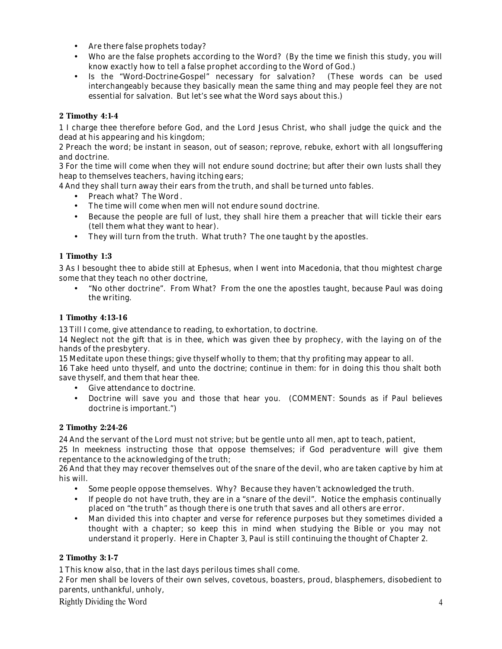- Are there false prophets today?
- Who are the false prophets according to the Word? (By the time we finish this study, you will know exactly how to tell a false prophet according to the Word of God.)
- Is the "Word-Doctrine-Gospel" necessary for salvation? (These words can be used interchangeably because they basically mean the same thing and may people feel they are not essential for salvation. But let's see what the Word says about this.)

# **2 Timothy 4:1-4**

1 I charge thee therefore before God, and the Lord Jesus Christ, who shall judge the quick and the dead at his appearing and his kingdom;

2 Preach the word; be instant in season, out of season; reprove, rebuke, exhort with all longsuffering and doctrine.

3 For the time will come when they will not endure sound doctrine; but after their own lusts shall they heap to themselves teachers, having itching ears;

4 And they shall turn away their ears from the truth, and shall be turned unto fables.

- Preach what? The Word.
- The time will come when men will not endure sound doctrine.
- Because the people are full of lust, they shall hire them a preacher that will tickle their ears (tell them what they want to hear).
- They will turn from the truth. What truth? The one taught by the apostles.

# **1 Timothy 1:3**

3 As I besought thee to abide still at Ephesus, when I went into Macedonia, that thou mightest charge some that they teach no other doctrine,

• "No other doctrine". From What? From the one the apostles taught, because Paul was doing the writing.

# **1 Timothy 4:13-16**

13 Till I come, give attendance to reading, to exhortation, to doctrine.

14 Neglect not the gift that is in thee, which was given thee by prophecy, with the laying on of the hands of the presbytery.

15 Meditate upon these things; give thyself wholly to them; that thy profiting may appear to all.

16 Take heed unto thyself, and unto the doctrine; continue in them: for in doing this thou shalt both save thyself, and them that hear thee.

- Give attendance to doctrine.
- Doctrine will save you and those that hear you. (COMMENT: Sounds as if Paul believes doctrine is important.")

# **2 Timothy 2:24-26**

24 And the servant of the Lord must not strive; but be gentle unto all men, apt to teach, patient,

25 In meekness instructing those that oppose themselves; if God peradventure will give them repentance to the acknowledging of the truth;

26 And that they may recover themselves out of the snare of the devil, who are taken captive by him at his will.

- Some people oppose themselves. Why? Because they haven't acknowledged the truth.
- If people do not have truth, they are in a "snare of the devil". Notice the emphasis continually placed on "the truth" as though there is one truth that saves and all others are error.
- Man divided this into chapter and verse for reference purposes but they sometimes divided a thought with a chapter; so keep this in mind when studying the Bible or you may not understand it properly. Here in Chapter 3, Paul is still continuing the thought of Chapter 2.

# **2 Timothy 3:1-7**

1 This know also, that in the last days perilous times shall come.

2 For men shall be lovers of their own selves, covetous, boasters, proud, blasphemers, disobedient to parents, unthankful, unholy,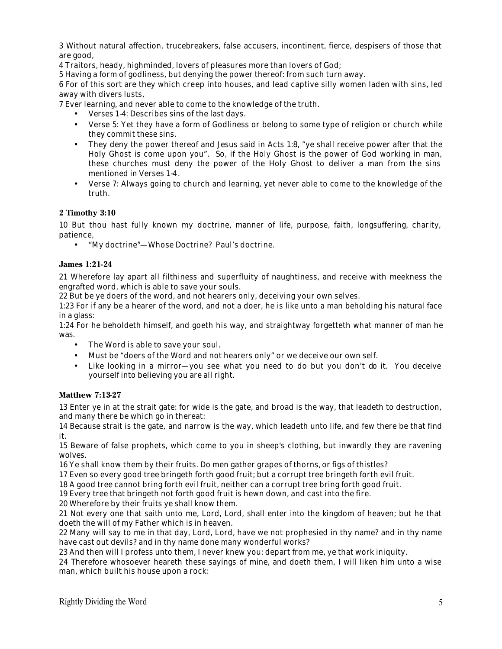3 Without natural affection, trucebreakers, false accusers, incontinent, fierce, despisers of those that are good,

4 Traitors, heady, highminded, lovers of pleasures more than lovers of God;

5 Having a form of godliness, but denying the power thereof: from such turn away.

6 For of this sort are they which creep into houses, and lead captive silly women laden with sins, led away with divers lusts,

7 Ever learning, and never able to come to the knowledge of the truth.

- Verses 1-4: Describes sins of the last days.
- Verse 5: Yet they have a form of Godliness or belong to some type of religion or church while they commit these sins.
- They deny the power thereof and Jesus said in Acts 1:8, "ye shall receive power after that the Holy Ghost is come upon you". So, if the Holy Ghost is the power of God working in man, these churches must deny the power of the Holy Ghost to deliver a man from the sins mentioned in Verses 1-4.
- Verse 7: Always going to church and learning, yet never able to come to the knowledge of the truth.

#### **2 Timothy 3:10**

10 But thou hast fully known my doctrine, manner of life, purpose, faith, longsuffering, charity, patience,

• "My doctrine"—Whose Doctrine? Paul's doctrine.

#### **James 1:21-24**

21 Wherefore lay apart all filthiness and superfluity of naughtiness, and receive with meekness the engrafted word, which is able to save your souls.

22 But be ye doers of the word, and not hearers only, deceiving your own selves.

1:23 For if any be a hearer of the word, and not a doer, he is like unto a man beholding his natural face in a glass:

1:24 For he beholdeth himself, and goeth his way, and straightway forgetteth what manner of man he was.

- The Word is able to save your soul.
- Must be "doers of the Word and not hearers only" or we deceive our own self.
- Like looking in a mirror—you see what you need to do but you don't do it. You deceive yourself into believing you are all right.

#### **Matthew 7:13-27**

13 Enter ye in at the strait gate: for wide is the gate, and broad is the way, that leadeth to destruction, and many there be which go in thereat:

14 Because strait is the gate, and narrow is the way, which leadeth unto life, and few there be that find it.

15 Beware of false prophets, which come to you in sheep's clothing, but inwardly they are ravening wolves.

16 Ye shall know them by their fruits. Do men gather grapes of thorns, or figs of thistles?

17 Even so every good tree bringeth forth good fruit; but a corrupt tree bringeth forth evil fruit.

18 A good tree cannot bring forth evil fruit, neither can a corrupt tree bring forth good fruit.

19 Every tree that bringeth not forth good fruit is hewn down, and cast into the fire.

20 Wherefore by their fruits ye shall know them.

21 Not every one that saith unto me, Lord, Lord, shall enter into the kingdom of heaven; but he that doeth the will of my Father which is in heaven.

22 Many will say to me in that day, Lord, Lord, have we not prophesied in thy name? and in thy name have cast out devils? and in thy name done many wonderful works?

23 And then will I profess unto them, I never knew you: depart from me, ye that work iniquity.

24 Therefore whosoever heareth these sayings of mine, and doeth them, I will liken him unto a wise man, which built his house upon a rock: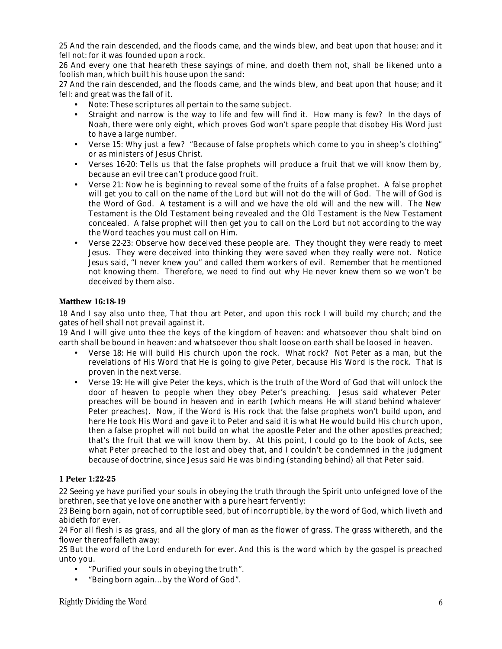25 And the rain descended, and the floods came, and the winds blew, and beat upon that house; and it fell not: for it was founded upon a rock.

26 And every one that heareth these sayings of mine, and doeth them not, shall be likened unto a foolish man, which built his house upon the sand:

27 And the rain descended, and the floods came, and the winds blew, and beat upon that house; and it fell: and great was the fall of it.

- Note: These scriptures all pertain to the same subject.
- Straight and narrow is the way to life and few will find it. How many is few? In the days of Noah, there were only eight, which proves God won't spare people that disobey His Word just to have a large number.
- Verse 15: Why just a few? "Because of false prophets which come to you in sheep's clothing" or as ministers of Jesus Christ.
- Verses 16-20: Tells us that the false prophets will produce a fruit that we will know them by, because an evil tree can't produce good fruit.
- Verse 21: Now he is beginning to reveal some of the fruits of a false prophet. A false prophet will get you to call on the name of the Lord but will not do the will of God. The will of God is the Word of God. A testament is a will and we have the old will and the new will. The New Testament is the Old Testament being revealed and the Old Testament is the New Testament concealed. A false prophet will then get you to call on the Lord but not according to the way the Word teaches you must call on Him.
- Verse 22-23: Observe how deceived these people are. They thought they were ready to meet Jesus. They were deceived into thinking they were saved when they really were not. Notice Jesus said, "I never knew you" and called them workers of evil. Remember that he mentioned not knowing them. Therefore, we need to find out why He never knew them so we won't be deceived by them also.

#### **Matthew 16:18-19**

18 And I say also unto thee, That thou art Peter, and upon this rock I will build my church; and the gates of hell shall not prevail against it.

19 And I will give unto thee the keys of the kingdom of heaven: and whatsoever thou shalt bind on earth shall be bound in heaven: and whatsoever thou shalt loose on earth shall be loosed in heaven.

- Verse 18: He will build His church upon the rock. What rock? Not Peter as a man, but the revelations of His Word that He is going to give Peter, because His Word is the rock. That is proven in the next verse.
- Verse 19: He will give Peter the keys, which is the truth of the Word of God that will unlock the door of heaven to people when they obey Peter's preaching. Jesus said whatever Peter preaches will be bound in heaven and in earth (which means He will stand behind whatever Peter preaches). Now, if the Word is His rock that the false prophets won't build upon, and here He took His Word and gave it to Peter and said it is what He would build His church upon, then a false prophet will not build on what the apostle Peter and the other apostles preached; that's the fruit that we will know them by. At this point, I could go to the book of Acts, see what Peter preached to the lost and obey that, and I couldn't be condemned in the judgment because of doctrine, since Jesus said He was binding (standing behind) all that Peter said.

#### **1 Peter 1:22-25**

22 Seeing ye have purified your souls in obeying the truth through the Spirit unto unfeigned love of the brethren, see that ye love one another with a pure heart fervently:

23 Being born again, not of corruptible seed, but of incorruptible, by the word of God, which liveth and abideth for ever.

24 For all flesh is as grass, and all the glory of man as the flower of grass. The grass withereth, and the flower thereof falleth away:

25 But the word of the Lord endureth for ever. And this is the word which by the gospel is preached unto you.

- "Purified your souls in obeying the truth".
- "Being born again…by the Word of God".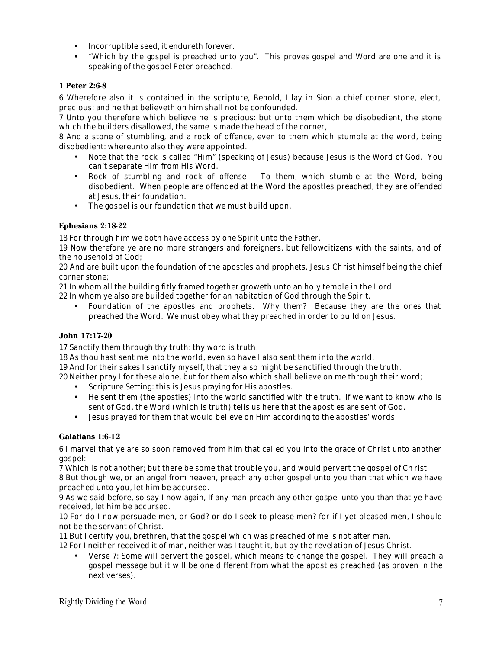- Incorruptible seed, it endureth forever.
- "Which by the gospel is preached unto you". This proves gospel and Word are one and it is speaking of the gospel Peter preached.

# **1 Peter 2:6-8**

6 Wherefore also it is contained in the scripture, Behold, I lay in Sion a chief corner stone, elect, precious: and he that believeth on him shall not be confounded.

7 Unto you therefore which believe he is precious: but unto them which be disobedient, the stone which the builders disallowed, the same is made the head of the corner,

8 And a stone of stumbling, and a rock of offence, even to them which stumble at the word, being disobedient: whereunto also they were appointed.

- Note that the rock is called "Him" (speaking of Jesus) because Jesus is the Word of God. You can't separate Him from His Word.
- Rock of stumbling and rock of offense To them, which stumble at the Word, being disobedient. When people are offended at the Word the apostles preached, they are offended at Jesus, their foundation.
- The gospel is our foundation that we must build upon.

# **Ephesians 2:18-22**

18 For through him we both have access by one Spirit unto the Father.

19 Now therefore ye are no more strangers and foreigners, but fellowcitizens with the saints, and of the household of God;

20 And are built upon the foundation of the apostles and prophets, Jesus Christ himself being the chief corner stone;

21 In whom all the building fitly framed together groweth unto an holy temple in the Lord:

22 In whom ye also are builded together for an habitation of God through the Spirit.

• Foundation of the apostles and prophets. Why them? Because they are the ones that preached the Word. We must obey what they preached in order to build on Jesus.

# **John 17:17-20**

17 Sanctify them through thy truth: thy word is truth.

18 As thou hast sent me into the world, even so have I also sent them into the world.

19 And for their sakes I sanctify myself, that they also might be sanctified through the truth.

20 Neither pray I for these alone, but for them also which shall believe on me through their word;

- Scripture Setting: this is Jesus praying for His apostles.
- He sent them (the apostles) into the world sanctified with the truth. If we want to know who is sent of God, the Word (which is truth) tells us here that the apostles are sent of God.
- Jesus prayed for them that would believe on Him according to the apostles' words.

# **Galatians 1:6-12**

6 I marvel that ye are so soon removed from him that called you into the grace of Christ unto another gospel:

7 Which is not another; but there be some that trouble you, and would pervert the gospel of Ch rist. 8 But though we, or an angel from heaven, preach any other gospel unto you than that which we have preached unto you, let him be accursed.

9 As we said before, so say I now again, If any man preach any other gospel unto you than that ye have received, let him be accursed.

10 For do I now persuade men, or God? or do I seek to please men? for if I yet pleased men, I should not be the servant of Christ.

11 But I certify you, brethren, that the gospel which was preached of me is not after man.

12 For I neither received it of man, neither was I taught it, but by the revelation of Jesus Christ.

• Verse 7: Some will pervert the gospel, which means to change the gospel. They will preach a gospel message but it will be one different from what the apostles preached (as proven in the next verses).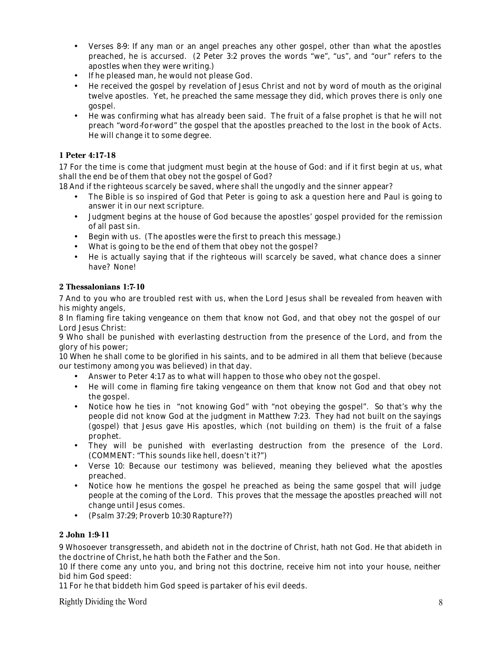- Verses 8-9: If any man or an angel preaches any other gospel, other than what the apostles preached, he is accursed. (2 Peter 3:2 proves the words "we", "us", and "our" refers to the apostles when they were writing.)
- If he pleased man, he would not please God.
- He received the gospel by revelation of Jesus Christ and not by word of mouth as the original twelve apostles. Yet, he preached the same message they did, which proves there is only one gospel.
- He was confirming what has already been said. The fruit of a false prophet is that he will not preach "word-for-word" the gospel that the apostles preached to the lost in the book of Acts. He will change it to some degree.

# **1 Peter 4:17-18**

17 For the time is come that judgment must begin at the house of God: and if it first begin at us, what shall the end be of them that obey not the gospel of God?

18 And if the righteous scarcely be saved, where shall the ungodly and the sinner appear?

- The Bible is so inspired of God that Peter is going to ask a question here and Paul is going to answer it in our next scripture.
- Judgment begins at the house of God because the apostles' gospel provided for the remission of all past sin.
- Begin with us. (The apostles were the first to preach this message.)
- What is going to be the end of them that obey not the gospel?
- He is actually saying that if the righteous will scarcely be saved, what chance does a sinner have? None!

# **2 Thessalonians 1:7-10**

7 And to you who are troubled rest with us, when the Lord Jesus shall be revealed from heaven with his mighty angels,

8 In flaming fire taking vengeance on them that know not God, and that obey not the gospel of our Lord Jesus Christ:

9 Who shall be punished with everlasting destruction from the presence of the Lord, and from the glory of his power;

10 When he shall come to be glorified in his saints, and to be admired in all them that believe (because our testimony among you was believed) in that day.

- Answer to Peter 4:17 as to what will happen to those who obey not the gospel.
- He will come in flaming fire taking vengeance on them that know not God and that obey not the gospel.
- Notice how he ties in "not knowing God" with "not obeying the gospel". So that's why the people did not know God at the judgment in Matthew 7:23. They had not built on the sayings (gospel) that Jesus gave His apostles, which (not building on them) is the fruit of a false prophet.
- They will be punished with everlasting destruction from the presence of the Lord. (COMMENT: "This sounds like hell, doesn't it?")
- Verse 10: Because our testimony was believed, meaning they believed what the apostles preached.
- Notice how he mentions the gospel he preached as being the same gospel that will judge people at the coming of the Lord. This proves that the message the apostles preached will not change until Jesus comes.
- (Psalm 37:29; Proverb 10:30 Rapture??)

# **2 John 1:9-11**

9 Whosoever transgresseth, and abideth not in the doctrine of Christ, hath not God. He that abideth in the doctrine of Christ, he hath both the Father and the Son.

10 If there come any unto you, and bring not this doctrine, receive him not into your house, neither bid him God speed:

11 For he that biddeth him God speed is partaker of his evil deeds.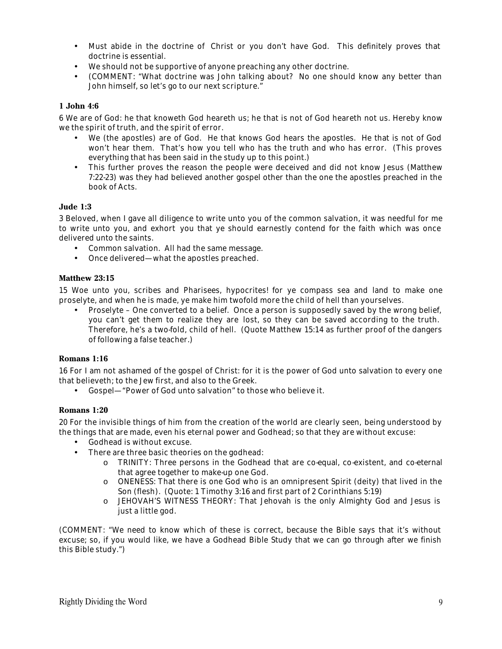- Must abide in the doctrine of Christ or you don't have God. This definitely proves that doctrine is essential.
- We should not be supportive of anyone preaching any other doctrine.
- (COMMENT: "What doctrine was John talking about? No one should know any better than John himself, so let's go to our next scripture."

#### **1 John 4:6**

6 We are of God: he that knoweth God heareth us; he that is not of God heareth not us. Hereby know we the spirit of truth, and the spirit of error.

- We (the apostles) are of God. He that knows God hears the apostles. He that is not of God won't hear them. That's how you tell who has the truth and who has error. (This proves everything that has been said in the study up to this point.)
- This further proves the reason the people were deceived and did not know Jesus (Matthew 7:22-23) was they had believed another gospel other than the one the apostles preached in the book of Acts.

#### **Jude 1:3**

3 Beloved, when I gave all diligence to write unto you of the common salvation, it was needful for me to write unto you, and exhort you that ye should earnestly contend for the faith which was once delivered unto the saints.

- Common salvation. All had the same message.
- Once delivered—what the apostles preached.

#### **Matthew 23:15**

15 Woe unto you, scribes and Pharisees, hypocrites! for ye compass sea and land to make one proselyte, and when he is made, ye make him twofold more the child of hell than yourselves.

• Proselyte – One converted to a belief. Once a person is supposedly saved by the wrong belief, you can't get them to realize they are lost, so they can be saved according to the truth. Therefore, he's a two-fold, child of hell. (Quote Matthew 15:14 as further proof of the dangers of following a false teacher.)

#### **Romans 1:16**

16 For I am not ashamed of the gospel of Christ: for it is the power of God unto salvation to every one that believeth; to the Jew first, and also to the Greek.

• Gospel—"Power of God unto salvation" to those who believe it.

#### **Romans 1:20**

20 For the invisible things of him from the creation of the world are clearly seen, being understood by the things that are made, even his eternal power and Godhead; so that they are without excuse:

- Godhead is without excuse.
- There are three basic theories on the godhead:
	- o TRINITY: Three persons in the Godhead that are co-equal, co-existent, and co-eternal that agree together to make-up one God.
	- o ONENESS: That there is one God who is an omnipresent Spirit (deity) that lived in the Son (flesh). (Quote: 1 Timothy 3:16 and first part of 2 Corinthians 5:19)
	- o JEHOVAH'S WITNESS THEORY: That Jehovah is the only Almighty God and Jesus is just a little god.

(COMMENT: "We need to know which of these is correct, because the Bible says that it's without excuse; so, if you would like, we have a Godhead Bible Study that we can go through after we finish this Bible study.")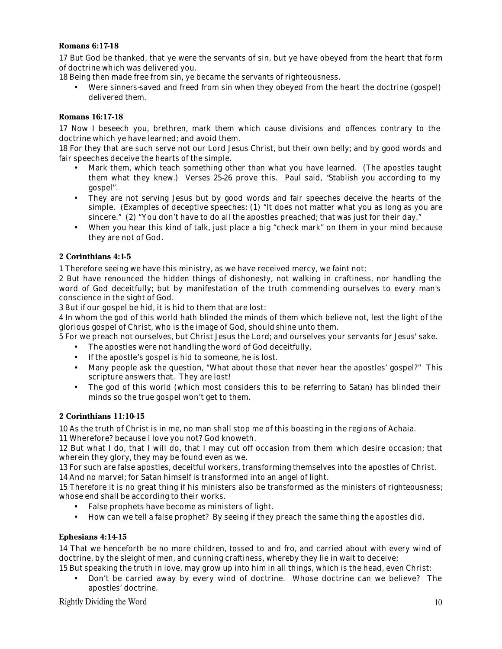### **Romans 6:17-18**

17 But God be thanked, that ye were the servants of sin, but ye have obeyed from the heart that form of doctrine which was delivered you.

18 Being then made free from sin, ye became the servants of righteousness.

• Were sinners-saved and freed from sin when they obeyed from the heart the doctrine (gospel) delivered them.

#### **Romans 16:17-18**

17 Now I beseech you, brethren, mark them which cause divisions and offences contrary to the doctrine which ye have learned; and avoid them.

18 For they that are such serve not our Lord Jesus Christ, but their own belly; and by good words and fair speeches deceive the hearts of the simple.

- Mark them, which teach something other than what you have learned. (The apostles taught them what they knew.) Verses 25-26 prove this. Paul said, "Stablish you according to my gospel".
- They are not serving Jesus but by good words and fair speeches deceive the hearts of the simple. (Examples of deceptive speeches: (1) "It does not matter what you as long as you are sincere." (2) "You don't have to do all the apostles preached; that was just for their day."
- When you hear this kind of talk, just place a big "check mark" on them in your mind because they are not of God.

# **2 Corinthians 4:1-5**

1 Therefore seeing we have this ministry, as we have received mercy, we faint not;

2 But have renounced the hidden things of dishonesty, not walking in craftiness, nor handling the word of God deceitfully; but by manifestation of the truth commending ourselves to every man's conscience in the sight of God.

3 But if our gospel be hid, it is hid to them that are lost:

4 In whom the god of this world hath blinded the minds of them which believe not, lest the light of the glorious gospel of Christ, who is the image of God, should shine unto them.

5 For we preach not ourselves, but Christ Jesus the Lord; and ourselves your servants for Jesus' sake.

- The apostles were not handling the word of God deceitfully.
- If the apostle's gospel is hid to someone, he is lost.
- Many people ask the question, "What about those that never hear the apostles' gospel?" This scripture answers that. They are lost!
- The god of this world (which most considers this to be referring to Satan) has blinded their minds so the true gospel won't get to them.

#### **2 Corinthians 11:10-15**

10 As the truth of Christ is in me, no man shall stop me of this boasting in the regions of Achaia.

11 Wherefore? because I love you not? God knoweth.

12 But what I do, that I will do, that I may cut off occasion from them which desire occasion; that wherein they glory, they may be found even as we.

13 For such are false apostles, deceitful workers, transforming themselves into the apostles of Christ.

14 And no marvel; for Satan himself is transformed into an angel of light.

15 Therefore it is no great thing if his ministers also be transformed as the ministers of righteousness; whose end shall be according to their works.

- False prophets have become as ministers of light.
- How can we tell a false prophet? By seeing if they preach the same thing the apostles did.

#### **Ephesians 4:14-15**

14 That we henceforth be no more children, tossed to and fro, and carried about with every wind of doctrine, by the sleight of men, and cunning craftiness, whereby they lie in wait to deceive; 15 But speaking the truth in love, may grow up into him in all things, which is the head, even Christ:

• Don't be carried away by every wind of doctrine. Whose doctrine can we believe? The apostles' doctrine.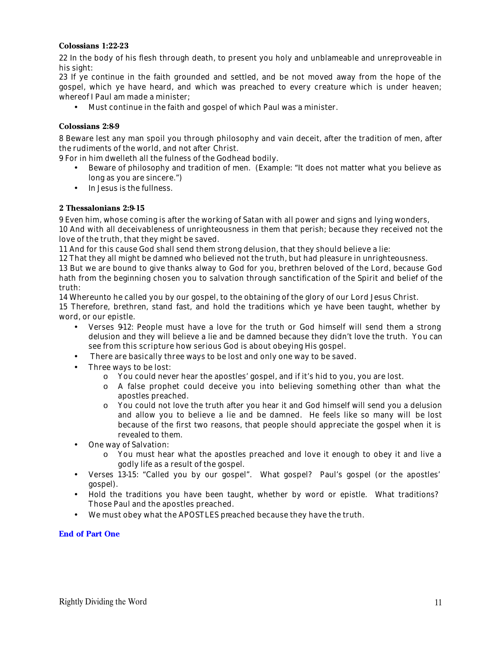#### **Colossians 1:22-23**

22 In the body of his flesh through death, to present you holy and unblameable and unreproveable in his sight:

23 If ye continue in the faith grounded and settled, and be not moved away from the hope of the gospel, which ye have heard, and which was preached to every creature which is under heaven; whereof I Paul am made a minister;

• Must continue in the faith and gospel of which Paul was a minister.

#### **Colossians 2:8-9**

8 Beware lest any man spoil you through philosophy and vain deceit, after the tradition of men, after the rudiments of the world, and not after Christ.

9 For in him dwelleth all the fulness of the Godhead bodily.

- Beware of philosophy and tradition of men. (Example: "It does not matter what you believe as long as you are sincere.")
- In Jesus is the fullness.

#### **2 Thessalonians 2:9-15**

9 Even him, whose coming is after the working of Satan with all power and signs and lying wonders, 10 And with all deceivableness of unrighteousness in them that perish; because they received not the love of the truth, that they might be saved.

11 And for this cause God shall send them strong delusion, that they should believe a lie:

12 That they all might be damned who believed not the truth, but had pleasure in unrighteousness.

13 But we are bound to give thanks alway to God for you, brethren beloved of the Lord, because God hath from the beginning chosen you to salvation through sanctification of the Spirit and belief of the truth:

14 Whereunto he called you by our gospel, to the obtaining of the glory of our Lord Jesus Christ.

15 Therefore, brethren, stand fast, and hold the traditions which ye have been taught, whether by word, or our epistle.

- Verses 9-12: People must have a love for the truth or God himself will send them a strong delusion and they will believe a lie and be damned because they didn't love the truth. You can see from this scripture how serious God is about obeying His gospel.
- There are basically three ways to be lost and only one way to be saved.
- Three ways to be lost:
	- o You could never hear the apostles' gospel, and if it's hid to you, you are lost.
	- o A false prophet could deceive you into believing something other than what the apostles preached.
	- o You could not love the truth after you hear it and God himself will send you a delusion and allow you to believe a lie and be damned. He feels like so many will be lost because of the first two reasons, that people should appreciate the gospel when it is revealed to them.
- One way of Salvation:
	- o You must hear what the apostles preached and love it enough to obey it and live a godly life as a result of the gospel.
- Verses 13-15: "Called you by our gospel". What gospel? Paul's gospel (or the apostles' gospel).
- Hold the traditions you have been taught, whether by word or epistle. What traditions? Those Paul and the apostles preached.
- We must obey what the APOSTLES preached because they have the truth.

#### **End of Part One**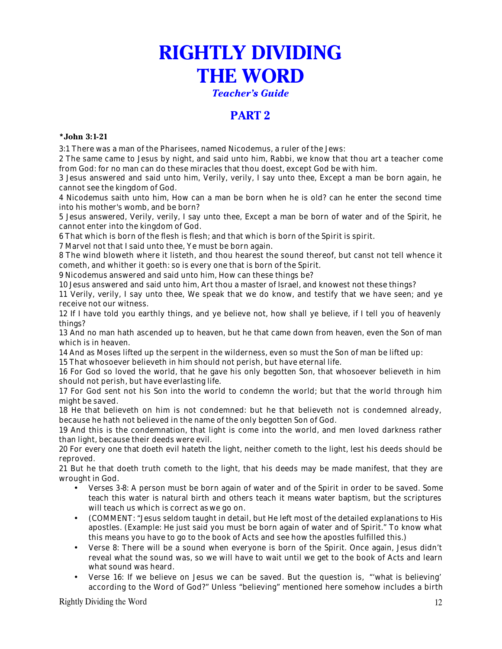# **RIGHTLY DIVIDING THE WORD**

*Teacher's Guide*

# **PART 2**

### **\*John 3:1-21**

3:1 There was a man of the Pharisees, named Nicodemus, a ruler of the Jews:

2 The same came to Jesus by night, and said unto him, Rabbi, we know that thou art a teacher come from God: for no man can do these miracles that thou doest, except God be with him.

3 Jesus answered and said unto him, Verily, verily, I say unto thee, Except a man be born again, he cannot see the kingdom of God.

4 Nicodemus saith unto him, How can a man be born when he is old? can he enter the second time into his mother's womb, and be born?

5 Jesus answered, Verily, verily, I say unto thee, Except a man be born of water and of the Spirit, he cannot enter into the kingdom of God.

6 That which is born of the flesh is flesh; and that which is born of the Spirit is spirit.

7 Marvel not that I said unto thee, Ye must be born again.

8 The wind bloweth where it listeth, and thou hearest the sound thereof, but canst not tell whence it cometh, and whither it goeth: so is every one that is born of the Spirit.

9 Nicodemus answered and said unto him, How can these things be?

10 Jesus answered and said unto him, Art thou a master of Israel, and knowest not these things?

11 Verily, verily, I say unto thee, We speak that we do know, and testify that we have seen; and ye receive not our witness.

12 If I have told you earthly things, and ye believe not, how shall ye believe, if I tell you of heavenly things?

13 And no man hath ascended up to heaven, but he that came down from heaven, even the Son of man which is in heaven.

14 And as Moses lifted up the serpent in the wilderness, even so must the Son of man be lifted up:

15 That whosoever believeth in him should not perish, but have eternal life.

16 For God so loved the world, that he gave his only begotten Son, that whosoever believeth in him should not perish, but have everlasting life.

17 For God sent not his Son into the world to condemn the world; but that the world through him might be saved.

18 He that believeth on him is not condemned: but he that believeth not is condemned already, because he hath not believed in the name of the only begotten Son of God.

19 And this is the condemnation, that light is come into the world, and men loved darkness rather than light, because their deeds were evil.

20 For every one that doeth evil hateth the light, neither cometh to the light, lest his deeds should be reproved.

21 But he that doeth truth cometh to the light, that his deeds may be made manifest, that they are wrought in God.

- Verses 3-8: A person must be born again of water and of the Spirit in order to be saved. Some teach this water is natural birth and others teach it means water baptism, but the scriptures will teach us which is correct as we go on.
- (COMMENT: "Jesus seldom taught in detail, but He left most of the detailed explanations to His apostles. (Example: He just said you must be born again of water and of Spirit." To know what this means you have to go to the book of Acts and see how the apostles fulfilled this.)
- Verse 8: There will be a sound when everyone is born of the Spirit. Once again, Jesus didn't reveal what the sound was, so we will have to wait until we get to the book of Acts and learn what sound was heard.
- Verse 16: If we believe on Jesus we can be saved. But the question is, "'what is believing' according to the Word of God?" Unless "believing" mentioned here somehow includes a birth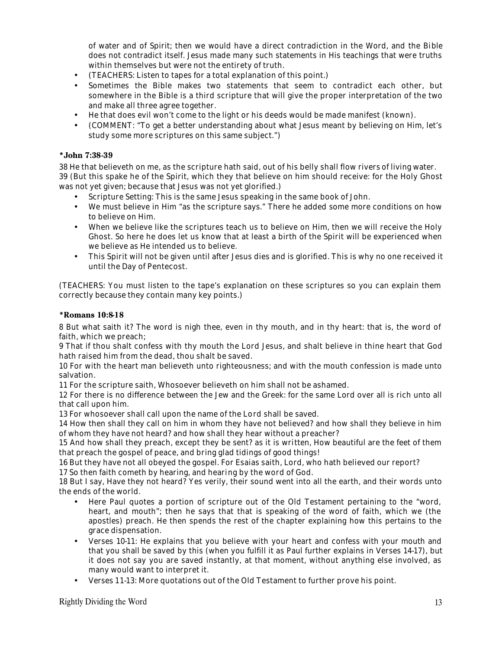of water and of Spirit; then we would have a direct contradiction in the Word, and the Bible does not contradict itself. Jesus made many such statements in His teachings that were truths within themselves but were not the entirety of truth.

- (TEACHERS: Listen to tapes for a total explanation of this point.)
- Sometimes the Bible makes two statements that seem to contradict each other, but somewhere in the Bible is a third scripture that will give the proper interpretation of the two and make all three agree together.
- He that does evil won't come to the light or his deeds would be made manifest (known).
- (COMMENT: "To get a better understanding about what Jesus meant by believing on Him, let's study some more scriptures on this same subject.")

#### **\*John 7:38-39**

38 He that believeth on me, as the scripture hath said, out of his belly shall flow rivers of living water. 39 (But this spake he of the Spirit, which they that believe on him should receive: for the Holy Ghost was not yet given; because that Jesus was not yet glorified.)

- Scripture Setting: This is the same Jesus speaking in the same book of John.
- We must believe in Him "as the scripture says." There he added some more conditions on how to believe on Him.
- When we believe like the scriptures teach us to believe on Him, then we will receive the Holy Ghost. So here he does let us know that at least a birth of the Spirit will be experienced when we believe as He intended us to believe.
- This Spirit will not be given until after Jesus dies and is glorified. This is why no one received it until the Day of Pentecost.

(TEACHERS: You must listen to the tape's explanation on these scriptures so you can explain them correctly because they contain many key points.)

#### **\*Romans 10:8-18**

8 But what saith it? The word is nigh thee, even in thy mouth, and in thy heart: that is, the word of faith, which we preach;

9 That if thou shalt confess with thy mouth the Lord Jesus, and shalt believe in thine heart that God hath raised him from the dead, thou shalt be saved.

10 For with the heart man believeth unto righteousness; and with the mouth confession is made unto salvation.

11 For the scripture saith, Whosoever believeth on him shall not be ashamed.

12 For there is no difference between the Jew and the Greek: for the same Lord over all is rich unto all that call upon him.

13 For whosoever shall call upon the name of the Lord shall be saved.

14 How then shall they call on him in whom they have not believed? and how shall they believe in him of whom they have not heard? and how shall they hear without a preacher?

15 And how shall they preach, except they be sent? as it is written, How beautiful are the feet of them that preach the gospel of peace, and bring glad tidings of good things!

16 But they have not all obeyed the gospel. For Esaias saith, Lord, who hath believed our report?

17 So then faith cometh by hearing, and hearing by the word of God.

18 But I say, Have they not heard? Yes verily, their sound went into all the earth, and their words unto the ends of the world.

- Here Paul quotes a portion of scripture out of the Old Testament pertaining to the "word, heart, and mouth"; then he says that that is speaking of the word of faith, which we (the apostles) preach. He then spends the rest of the chapter explaining how this pertains to the grace dispensation.
- Verses 10-11: He explains that you believe with your heart and confess with your mouth and that you shall be saved by this (when you fulfill it as Paul further explains in Verses 14-17), but it does not say you are saved instantly, at that moment, without anything else involved, as many would want to interpret it.
- Verses 11-13: More quotations out of the Old Testament to further prove his point.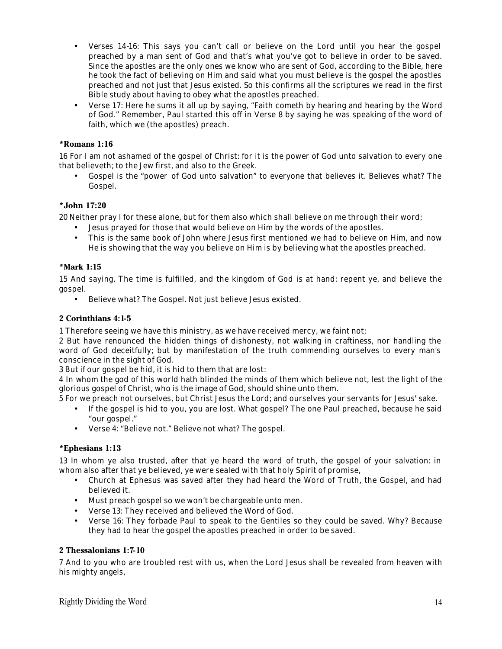- Verses 14-16: This says you can't call or believe on the Lord until you hear the gospel preached by a man sent of God and that's what you've got to believe in order to be saved. Since the apostles are the only ones we know who are sent of God, according to the Bible, here he took the fact of believing on Him and said what you must believe is the gospel the apostles preached and not just that Jesus existed. So this confirms all the scriptures we read in the first Bible study about having to obey what the apostles preached.
- Verse 17: Here he sums it all up by saying, "Faith cometh by hearing and hearing by the Word of God." Remember, Paul started this off in Verse 8 by saying he was speaking of the word of faith, which we (the apostles) preach.

# **\*Romans 1:16**

16 For I am not ashamed of the gospel of Christ: for it is the power of God unto salvation to every one that believeth; to the Jew first, and also to the Greek.

• Gospel is the "power of God unto salvation" to everyone that believes it. Believes what? The Gospel.

# **\*John 17:20**

20 Neither pray I for these alone, but for them also which shall believe on me through their word;

- Jesus prayed for those that would believe on Him by the words of the apostles.
- This is the same book of John where Jesus first mentioned we had to believe on Him, and now He is showing that the way you believe on Him is by believing what the apostles preached.

# **\*Mark 1:15**

15 And saying, The time is fulfilled, and the kingdom of God is at hand: repent ye, and believe the gospel.

• Believe what? The Gospel. Not just believe Jesus existed.

# **2 Corinthians 4:1-5**

1 Therefore seeing we have this ministry, as we have received mercy, we faint not;

2 But have renounced the hidden things of dishonesty, not walking in craftiness, nor handling the word of God deceitfully; but by manifestation of the truth commending ourselves to every man's conscience in the sight of God.

3 But if our gospel be hid, it is hid to them that are lost:

4 In whom the god of this world hath blinded the minds of them which believe not, lest the light of the glorious gospel of Christ, who is the image of God, should shine unto them.

5 For we preach not ourselves, but Christ Jesus the Lord; and ourselves your servants for Jesus' sake.

- If the gospel is hid to you, you are lost. What gospel? The one Paul preached, because he said "our gospel."
- Verse 4: "Believe not." Believe not what? The gospel.

# **\*Ephesians 1:13**

13 In whom ye also trusted, after that ye heard the word of truth, the gospel of your salvation: in whom also after that ye believed, ye were sealed with that holy Spirit of promise,

- Church at Ephesus was saved after they had heard the Word of Truth, the Gospel, and had believed it.
- Must preach gospel so we won't be chargeable unto men.
- Verse 13: They received and believed the Word of God.
- Verse 16: They forbade Paul to speak to the Gentiles so they could be saved. Why? Because they had to hear the gospel the apostles preached in order to be saved.

# **2 Thessalonians 1:7-10**

7 And to you who are troubled rest with us, when the Lord Jesus shall be revealed from heaven with his mighty angels,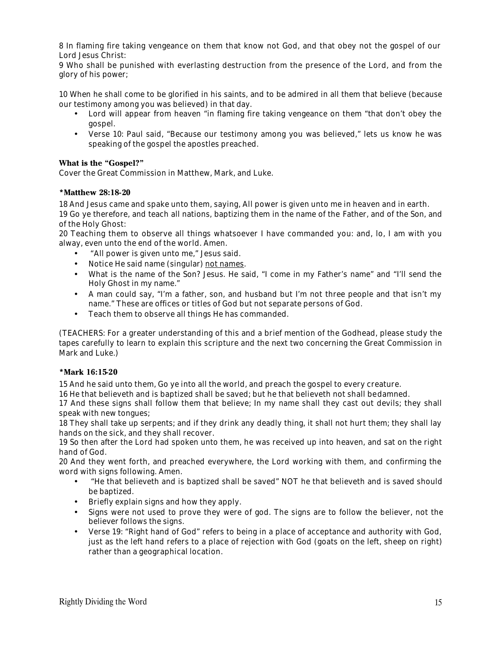8 In flaming fire taking vengeance on them that know not God, and that obey not the gospel of our Lord Jesus Christ:

9 Who shall be punished with everlasting destruction from the presence of the Lord, and from the glory of his power;

10 When he shall come to be glorified in his saints, and to be admired in all them that believe (because our testimony among you was believed) in that day.

- Lord will appear from heaven "in flaming fire taking vengeance on them "that don't obey the gospel.
- Verse 10: Paul said, "Because our testimony among you was believed," lets us know he was speaking of the gospel the apostles preached.

#### **What is the "Gospel?"**

Cover the Great Commission in Matthew, Mark, and Luke.

#### **\*Matthew 28:18-20**

18 And Jesus came and spake unto them, saying, All power is given unto me in heaven and in earth.

19 Go ye therefore, and teach all nations, baptizing them in the name of the Father, and of the Son, and of the Holy Ghost:

20 Teaching them to observe all things whatsoever I have commanded you: and, lo, I am with you alway, even unto the end of the world. Amen.

- "All power is given unto me," Jesus said.
- Notice He said name (singular) not names.
- What is the name of the Son? Jesus. He said, "I come in my Father's name" and "I'll send the Holy Ghost in my name."
- A man could say, "I'm a father, son, and husband but I'm not three people and that isn't my name." These are offices or titles of God but not separate persons of God.
- Teach them to observe all things He has commanded.

(TEACHERS: For a greater understanding of this and a brief mention of the Godhead, please study the tapes carefully to learn to explain this scripture and the next two concerning the Great Commission in Mark and Luke.)

#### **\*Mark 16:15-20**

15 And he said unto them, Go ye into all the world, and preach the gospel to every creature.

16 He that believeth and is baptized shall be saved; but he that believeth not shall be damned.

17 And these signs shall follow them that believe; In my name shall they cast out devils; they shall speak with new tongues;

18 They shall take up serpents; and if they drink any deadly thing, it shall not hurt them; they shall lay hands on the sick, and they shall recover.

19 So then after the Lord had spoken unto them, he was received up into heaven, and sat on the right hand of God.

20 And they went forth, and preached everywhere, the Lord working with them, and confirming the word with signs following. Amen.

- "He that believeth and is baptized shall be saved" NOT he that believeth and is saved should be baptized.
- Briefly explain signs and how they apply.
- Signs were not used to prove they were of god. The signs are to follow the believer, not the believer follows the signs.
- Verse 19: "Right hand of God" refers to being in a place of acceptance and authority with God, just as the left hand refers to a place of rejection with God (goats on the left, sheep on right) rather than a geographical location.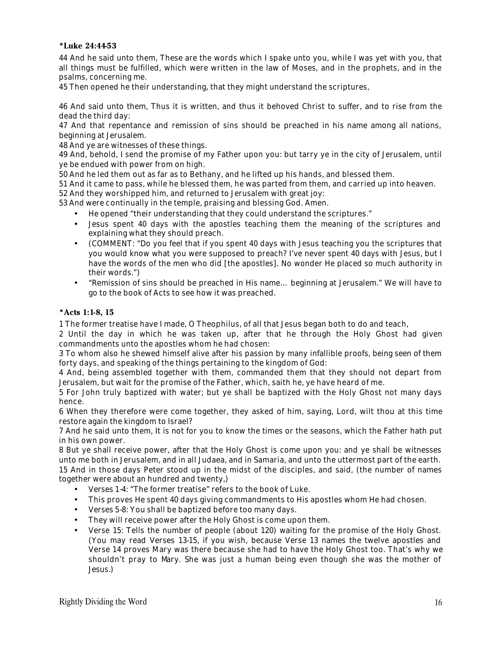#### **\*Luke 24:44-53**

44 And he said unto them, These are the words which I spake unto you, while I was yet with you, that all things must be fulfilled, which were written in the law of Moses, and in the prophets, and in the psalms, concerning me.

45 Then opened he their understanding, that they might understand the scriptures,

46 And said unto them, Thus it is written, and thus it behoved Christ to suffer, and to rise from the dead the third day:

47 And that repentance and remission of sins should be preached in his name among all nations, beginning at Jerusalem.

48 And ye are witnesses of these things.

49 And, behold, I send the promise of my Father upon you: but tarry ye in the city of Jerusalem, until ye be endued with power from on high.

50 And he led them out as far as to Bethany, and he lifted up his hands, and blessed them.

51 And it came to pass, while he blessed them, he was parted from them, and carried up into heaven.

52 And they worshipped him, and returned to Jerusalem with great joy:

53 And were continually in the temple, praising and blessing God. Amen.

- He opened "their understanding that they could understand the scriptures."
- Jesus spent 40 days with the apostles teaching them the meaning of the scriptures and explaining what they should preach.
- (COMMENT: "Do you feel that if you spent 40 days with Jesus teaching you the scriptures that you would know what you were supposed to preach? I've never spent 40 days with Jesus, but I have the words of the men who did [the apostles]. No wonder He placed so much authority in their words.")
- "Remission of sins should be preached in His name… beginning at Jerusalem." We will have to go to the book of Acts to see how it was preached.

#### **\*Acts 1:1-8, 15**

1 The former treatise have I made, O Theophilus, of all that Jesus began both to do and teach,

2 Until the day in which he was taken up, after that he through the Holy Ghost had given commandments unto the apostles whom he had chosen:

3 To whom also he shewed himself alive after his passion by many infallible proofs, being seen of them forty days, and speaking of the things pertaining to the kingdom of God:

4 And, being assembled together with them, commanded them that they should not depart from Jerusalem, but wait for the promise of the Father, which, saith he, ye have heard of me.

5 For John truly baptized with water; but ye shall be baptized with the Holy Ghost not many days hence.

6 When they therefore were come together, they asked of him, saying, Lord, wilt thou at this time restore again the kingdom to Israel?

7 And he said unto them, It is not for you to know the times or the seasons, which the Father hath put in his own power.

8 But ye shall receive power, after that the Holy Ghost is come upon you: and ye shall be witnesses unto me both in Jerusalem, and in all Judaea, and in Samaria, and unto the uttermost part of the earth. 15 And in those days Peter stood up in the midst of the disciples, and said, (the number of names together were about an hundred and twenty,)

- Verses 1-4: "The former treatise" refers to the book of Luke.
- This proves He spent 40 days giving commandments to His apostles whom He had chosen.
- Verses 5-8: You shall be baptized before too many days.
- They will receive power after the Holy Ghost is come upon them.
- Verse 15: Tells the number of people (about 120) waiting for the promise of the Holy Ghost. (You may read Verses 13-15, if you wish, because Verse 13 names the twelve apostles and Verse 14 proves Mary was there because she had to have the Holy Ghost too. That's why we shouldn't pray to Mary. She was just a human being even though she was the mother of Jesus.)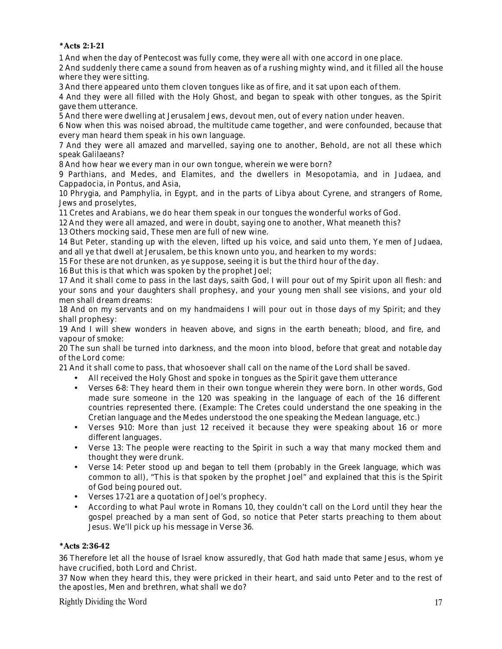**\*Acts 2:1-21**

1 And when the day of Pentecost was fully come, they were all with one accord in one place.

2 And suddenly there came a sound from heaven as of a rushing mighty wind, and it filled all the house where they were sitting.

3 And there appeared unto them cloven tongues like as of fire, and it sat upon each of them.

4 And they were all filled with the Holy Ghost, and began to speak with other tongues, as the Spirit gave them utterance.

5 And there were dwelling at Jerusalem Jews, devout men, out of every nation under heaven.

6 Now when this was noised abroad, the multitude came together, and were confounded, because that every man heard them speak in his own language.

7 And they were all amazed and marvelled, saying one to another, Behold, are not all these which speak Galilaeans?

8 And how hear we every man in our own tongue, wherein we were born?

9 Parthians, and Medes, and Elamites, and the dwellers in Mesopotamia, and in Judaea, and Cappadocia, in Pontus, and Asia,

10 Phrygia, and Pamphylia, in Egypt, and in the parts of Libya about Cyrene, and strangers of Rome, Jews and proselytes,

11 Cretes and Arabians, we do hear them speak in our tongues the wonderful works of God.

12 And they were all amazed, and were in doubt, saying one to another, What meaneth this?

13 Others mocking said, These men are full of new wine.

14 But Peter, standing up with the eleven, lifted up his voice, and said unto them, Ye men of Judaea, and all ye that dwell at Jerusalem, be this known unto you, and hearken to my words:

15 For these are not drunken, as ye suppose, seeing it is but the third hour of the day.

16 But this is that which was spoken by the prophet Joel;

17 And it shall come to pass in the last days, saith God, I will pour out of my Spirit upon all flesh: and your sons and your daughters shall prophesy, and your young men shall see visions, and your old men shall dream dreams:

18 And on my servants and on my handmaidens I will pour out in those days of my Spirit; and they shall prophesy:

19 And I will shew wonders in heaven above, and signs in the earth beneath; blood, and fire, and vapour of smoke:

20 The sun shall be turned into darkness, and the moon into blood, before that great and notable day of the Lord come:

21 And it shall come to pass, that whosoever shall call on the name of the Lord shall be saved.

- All received the Holy Ghost and spoke in tongues as the Spirit gave them utterance
- Verses 6-8: They heard them in their own tongue wherein they were born. In other words, God made sure someone in the 120 was speaking in the language of each of the 16 different countries represented there. (Example: The Cretes could understand the one speaking in the Cretian language and the Medes understood the one speaking the Medean language, etc.)
- Verses 910: More than just 12 received it because they were speaking about 16 or more different languages.
- Verse 13: The people were reacting to the Spirit in such a way that many mocked them and thought they were drunk.
- Verse 14: Peter stood up and began to tell them (probably in the Greek language, which was common to all), "This is that spoken by the prophet Joel" and explained that this is the Spirit of God being poured out.
- Verses 17-21 are a quotation of Joel's prophecy.
- According to what Paul wrote in Romans 10, they couldn't call on the Lord until they hear the gospel preached by a man sent of God, so notice that Peter starts preaching to them about Jesus. We'll pick up his message in Verse 36.

#### **\*Acts 2:36-42**

36 Therefore let all the house of Israel know assuredly, that God hath made that same Jesus, whom ye have crucified, both Lord and Christ.

37 Now when they heard this, they were pricked in their heart, and said unto Peter and to the rest of the apostles, Men and brethren, what shall we do?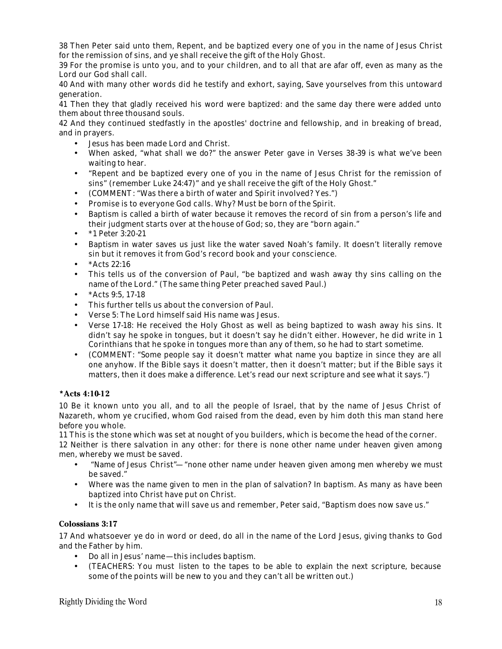38 Then Peter said unto them, Repent, and be baptized every one of you in the name of Jesus Christ for the remission of sins, and ye shall receive the gift of the Holy Ghost.

39 For the promise is unto you, and to your children, and to all that are afar off, even as many as the Lord our God shall call.

40 And with many other words did he testify and exhort, saying, Save yourselves from this untoward generation.

41 Then they that gladly received his word were baptized: and the same day there were added unto them about three thousand souls.

42 And they continued stedfastly in the apostles' doctrine and fellowship, and in breaking of bread, and in prayers.

- Jesus has been made Lord and Christ.
- When asked, "what shall we do?" the answer Peter gave in Verses 38-39 is what we've been waiting to hear.
- "Repent and be baptized every one of you in the name of Jesus Christ for the remission of sins" (remember Luke 24:47)" and ye shall receive the gift of the Holy Ghost."
- (COMMENT: "Was there a birth of water and Spirit involved? Yes.")
- Promise is to everyone God calls. Why? Must be born of the Spirit.
- Baptism is called a birth of water because it removes the record of sin from a person's life and their judgment starts over at the house of God; so, they are "born again."
- \*1 Peter 3:20-21
- Baptism in water saves us just like the water saved Noah's family. It doesn't literally remove sin but it removes it from God's record book and your conscience.
- $*Acts 22:16$
- This tells us of the conversion of Paul, "be baptized and wash away thy sins calling on the name of the Lord." (The same thing Peter preached saved Paul.)
- $*Acts 9:5, 17-18$
- This further tells us about the conversion of Paul.
- Verse 5: The Lord himself said His name was Jesus.
- Verse 17-18: He received the Holy Ghost as well as being baptized to wash away his sins. It didn't say he spoke in tongues, but it doesn't say he didn't either. However, he did write in 1 Corinthians that he spoke in tongues more than any of them, so he had to start sometime.
- (COMMENT: "Some people say it doesn't matter what name you baptize in since they are all one anyhow. If the Bible says it doesn't matter, then it doesn't matter; but if the Bible says it matters, then it does make a difference. Let's read our next scripture and see what it says.")

#### **\*Acts 4:10-12**

10 Be it known unto you all, and to all the people of Israel, that by the name of Jesus Christ of Nazareth, whom ye crucified, whom God raised from the dead, even by him doth this man stand here before you whole.

11 This is the stone which was set at nought of you builders, which is become the head of the corner.

12 Neither is there salvation in any other: for there is none other name under heaven given among men, whereby we must be saved.

- "Name of Jesus Christ"—"none other name under heaven given among men whereby we must be saved."
- Where was the name given to men in the plan of salvation? In baptism. As many as have been baptized into Christ have put on Christ.
- It is the only name that will save us and remember, Peter said, "Baptism does now save us."

#### **Colossians 3:17**

17 And whatsoever ye do in word or deed, do all in the name of the Lord Jesus, giving thanks to God and the Father by him.

- Do all in Jesus' name—this includes baptism.
- (TEACHERS: You must listen to the tapes to be able to explain the next scripture, because some of the points will be new to you and they can't all be written out.)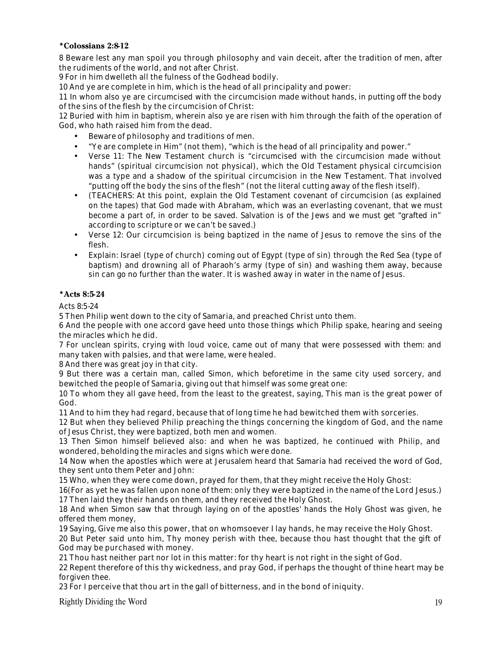# **\*Colossians 2:8-12**

8 Beware lest any man spoil you through philosophy and vain deceit, after the tradition of men, after the rudiments of the world, and not after Christ.

9 For in him dwelleth all the fulness of the Godhead bodily.

10 And ye are complete in him, which is the head of all principality and power:

11 In whom also ye are circumcised with the circumcision made without hands, in putting off the body of the sins of the flesh by the circumcision of Christ:

12 Buried with him in baptism, wherein also ye are risen with him through the faith of the operation of God, who hath raised him from the dead.

- Beware of philosophy and traditions of men.
- "Ye are complete in Him" (not them), "which is the head of all principality and power."
- Verse 11: The New Testament church is "circumcised with the circumcision made without hands" (spiritual circumcision not physical), which the Old Testament physical circumcision was a type and a shadow of the spiritual circumcision in the New Testament. That involved "putting off the body the sins of the flesh" (not the literal cutting away of the flesh itself).
- (TEACHERS: At this point, explain the Old Testament covenant of circumcision (as explained on the tapes) that God made with Abraham, which was an everlasting covenant, that we must become a part of, in order to be saved. Salvation is of the Jews and we must get "grafted in" according to scripture or we can't be saved.)
- Verse 12: Our circumcision is being baptized in the name of Jesus to remove the sins of the flesh.
- Explain: Israel (type of church) coming out of Egypt (type of sin) through the Red Sea (type of baptism) and drowning all of Pharaoh's army (type of sin) and washing them away, because sin can go no further than the water. It is washed away in water in the name of Jesus.

#### **\*Acts 8:5-24**

Acts 8:5-24

5 Then Philip went down to the city of Samaria, and preached Christ unto them.

6 And the people with one accord gave heed unto those things which Philip spake, hearing and seeing the miracles which he did.

7 For unclean spirits, crying with loud voice, came out of many that were possessed with them: and many taken with palsies, and that were lame, were healed.

8 And there was great joy in that city.

9 But there was a certain man, called Simon, which beforetime in the same city used sorcery, and bewitched the people of Samaria, giving out that himself was some great one:

10 To whom they all gave heed, from the least to the greatest, saying, This man is the great power of God.

11 And to him they had regard, because that of long time he had bewitched them with sorceries.

12 But when they believed Philip preaching the things concerning the kingdom of God, and the name of Jesus Christ, they were baptized, both men and women.

13 Then Simon himself believed also: and when he was baptized, he continued with Philip, and wondered, beholding the miracles and signs which were done.

14 Now when the apostles which were at Jerusalem heard that Samaria had received the word of God, they sent unto them Peter and John:

15 Who, when they were come down, prayed for them, that they might receive the Holy Ghost:

16(For as yet he was fallen upon none of them: only they were baptized in the name of the Lord Jesus.) 17 Then laid they their hands on them, and they received the Holy Ghost.

18 And when Simon saw that through laying on of the apostles' hands the Holy Ghost was given, he offered them money,

19 Saying, Give me also this power, that on whomsoever I lay hands, he may receive the Holy Ghost.

20 But Peter said unto him, Thy money perish with thee, because thou hast thought that the gift of God may be purchased with money.

21 Thou hast neither part nor lot in this matter: for thy heart is not right in the sight of God.

22 Repent therefore of this thy wickedness, and pray God, if perhaps the thought of thine heart may be forgiven thee.

23 For I perceive that thou art in the gall of bitterness, and in the bond of iniquity.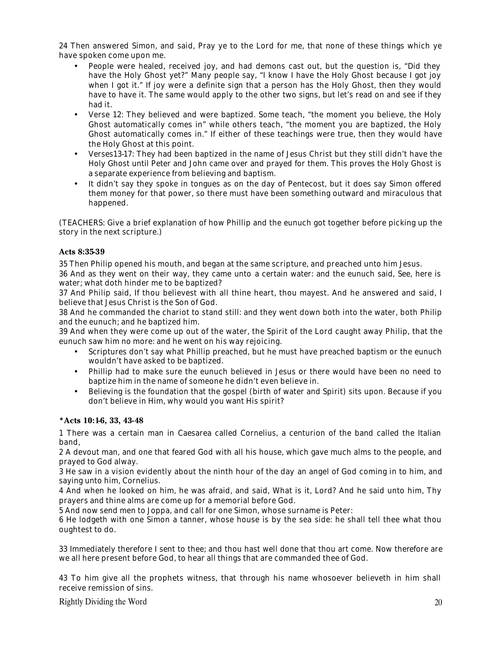24 Then answered Simon, and said, Pray ye to the Lord for me, that none of these things which ye have spoken come upon me.

- People were healed, received joy, and had demons cast out, but the question is, "Did they have the Holy Ghost yet?" Many people say, "I know I have the Holy Ghost because I got joy when I got it." If joy were a definite sign that a person has the Holy Ghost, then they would have to have it. The same would apply to the other two signs, but let's read on and see if they had it.
- Verse 12: They believed and were baptized. Some teach, "the moment you believe, the Holy Ghost automatically comes in" while others teach, "the moment you are baptized, the Holy Ghost automatically comes in." If either of these teachings were true, then they would have the Holy Ghost at this point.
- Verses13-17: They had been baptized in the name of Jesus Christ but they still didn't have the Holy Ghost until Peter and John came over and prayed for them. This proves the Holy Ghost is a separate experience from believing and baptism.
- It didn't say they spoke in tongues as on the day of Pentecost, but it does say Simon offered them money for that power, so there must have been something outward and miraculous that happened.

(TEACHERS: Give a brief explanation of how Phillip and the eunuch got together before picking up the story in the next scripture.)

#### **Acts 8:35-39**

35 Then Philip opened his mouth, and began at the same scripture, and preached unto him Jesus.

36 And as they went on their way, they came unto a certain water: and the eunuch said, See, here is water; what doth hinder me to be baptized?

37 And Philip said, If thou believest with all thine heart, thou mayest. And he answered and said, I believe that Jesus Christ is the Son of God.

38 And he commanded the chariot to stand still: and they went down both into the water, both Philip and the eunuch; and he baptized him.

39 And when they were come up out of the water, the Spirit of the Lord caught away Philip, that the eunuch saw him no more: and he went on his way rejoicing.

- Scriptures don't say what Phillip preached, but he must have preached baptism or the eunuch wouldn't have asked to be baptized.
- Phillip had to make sure the eunuch believed in Jesus or there would have been no need to baptize him in the name of someone he didn't even believe in.
- Believing is the foundation that the gospel (birth of water and Spirit) sits upon. Because if you don't believe in Him, why would you want His spirit?

#### **\*Acts 10:1-6, 33, 43-48**

1 There was a certain man in Caesarea called Cornelius, a centurion of the band called the Italian band,

2 A devout man, and one that feared God with all his house, which gave much alms to the people, and prayed to God alway.

3 He saw in a vision evidently about the ninth hour of the day an angel of God coming in to him, and saying unto him, Cornelius.

4 And when he looked on him, he was afraid, and said, What is it, Lord? And he said unto him, Thy prayers and thine alms are come up for a memorial before God.

5 And now send men to Joppa, and call for one Simon, whose surname is Peter:

6 He lodgeth with one Simon a tanner, whose house is by the sea side: he shall tell thee what thou oughtest to do.

33 Immediately therefore I sent to thee; and thou hast well done that thou art come. Now therefore are we all here present before God, to hear all things that are commanded thee of God.

43 To him give all the prophets witness, that through his name whosoever believeth in him shall receive remission of sins.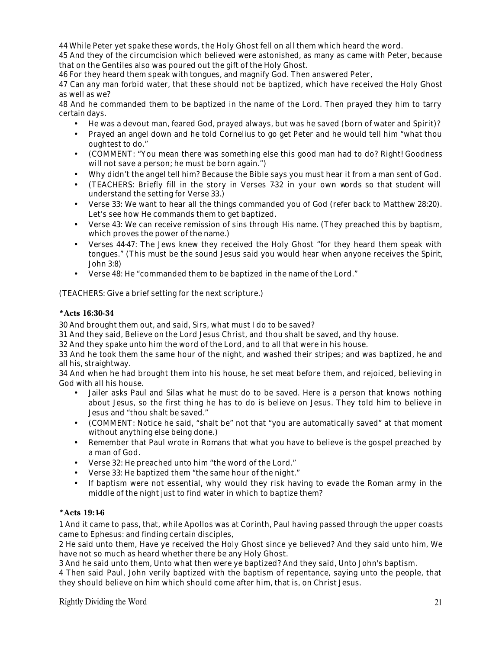44 While Peter yet spake these words, the Holy Ghost fell on all them which heard the word.

45 And they of the circumcision which believed were astonished, as many as came with Peter, because that on the Gentiles also was poured out the gift of the Holy Ghost.

46 For they heard them speak with tongues, and magnify God. Then answered Peter,

47 Can any man forbid water, that these should not be baptized, which have received the Holy Ghost as well as we?

48 And he commanded them to be baptized in the name of the Lord. Then prayed they him to tarry certain days.

- He was a devout man, feared God, prayed always, but was he saved (born of water and Spirit)?
- Prayed an angel down and he told Cornelius to go get Peter and he would tell him "what thou oughtest to do."
- (COMMENT: "You mean there was something else this good man had to do? Right! Goodness will not save a person; he must be born again.")
- Why didn't the angel tell him? Because the Bible says you must hear it from a man sent of God.
- (TEACHERS: Briefly fill in the story in Verses 7-32 in your own words so that student will understand the setting for Verse 33.)
- Verse 33: We want to hear all the things commanded you of God (refer back to Matthew 28:20). Let's see how He commands them to get baptized.
- Verse 43: We can receive remission of sins through His name. (They preached this by baptism, which proves the power of the name.)
- Verses 44-47: The Jews knew they received the Holy Ghost "for they heard them speak with tongues." (This must be the sound Jesus said you would hear when anyone receives the Spirit, John 3:8)
- Verse 48: He "commanded them to be baptized in the name of the Lord."

(TEACHERS: Give a brief setting for the next scripture.)

#### **\*Acts 16:30-34**

30 And brought them out, and said, Sirs, what must I do to be saved?

31 And they said, Believe on the Lord Jesus Christ, and thou shalt be saved, and thy house.

32 And they spake unto him the word of the Lord, and to all that were in his house.

33 And he took them the same hour of the night, and washed their stripes; and was baptized, he and all his, straightway.

34 And when he had brought them into his house, he set meat before them, and rejoiced, believing in God with all his house.

- Jailer asks Paul and Silas what he must do to be saved. Here is a person that knows nothing about Jesus, so the first thing he has to do is believe on Jesus. They told him to believe in Jesus and "thou shalt be saved."
- (COMMENT: Notice he said, "shalt be" not that "you are automatically saved" at that moment without anything else being done.)
- Remember that Paul wrote in Romans that what you have to believe is the gospel preached by a man of God.
- Verse 32: He preached unto him "the word of the Lord."
- Verse 33: He baptized them "the same hour of the night."
- If baptism were not essential, why would they risk having to evade the Roman army in the middle of the night just to find water in which to baptize them?

# **\*Acts 19:1-6**

1 And it came to pass, that, while Apollos was at Corinth, Paul having passed through the upper coasts came to Ephesus: and finding certain disciples,

2 He said unto them, Have ye received the Holy Ghost since ye believed? And they said unto him, We have not so much as heard whether there be any Holy Ghost.

3 And he said unto them, Unto what then were ye baptized? And they said, Unto John's baptism.

4 Then said Paul, John verily baptized with the baptism of repentance, saying unto the people, that they should believe on him which should come after him, that is, on Christ Jesus.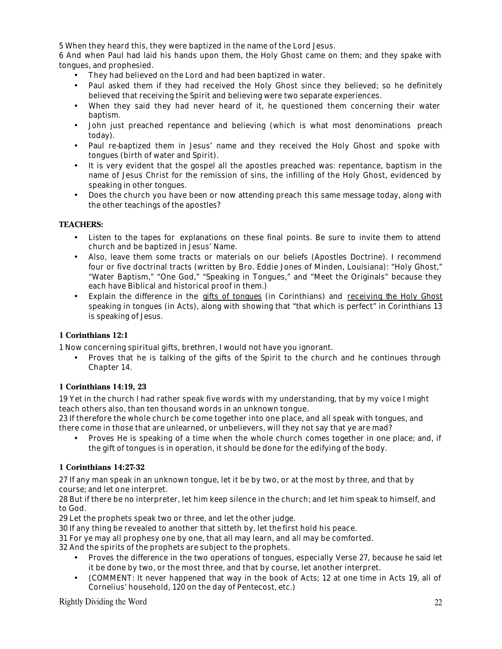5 When they heard this, they were baptized in the name of the Lord Jesus.

6 And when Paul had laid his hands upon them, the Holy Ghost came on them; and they spake with tongues, and prophesied.

- They had believed on the Lord and had been baptized in water.
- Paul asked them if they had received the Holy Ghost since they believed; so he definitely believed that receiving the Spirit and believing were two separate experiences.
- When they said they had never heard of it, he questioned them concerning their water baptism.
- John just preached repentance and believing (which is what most denominations preach today).
- Paul re-baptized them in Jesus' name and they received the Holy Ghost and spoke with tongues (birth of water and Spirit).
- It is very evident that the gospel all the apostles preached was: repentance, baptism in the name of Jesus Christ for the remission of sins, the infilling of the Holy Ghost, evidenced by speaking in other tongues.
- Does the church you have been or now attending preach this same message today, along with the other teachings of the apostles?

#### **TEACHERS:**

- Listen to the tapes for explanations on these final points. Be sure to invite them to attend church and be baptized in Jesus' Name.
- Also, leave them some tracts or materials on our beliefs (Apostles Doctrine). I recommend four or five doctrinal tracts (written by Bro. Eddie Jones of Minden, Louisiana): "Holy Ghost," "Water Baptism," "One God," "Speaking in Tongues," and "Meet the Originals" because they each have Biblical and historical proof in them.)
- Explain the difference in the gifts of tongues (in Corinthians) and receiving the Holy Ghost speaking in tongues (in Acts), along with showing that "that which is perfect" in Corinthians 13 is speaking of Jesus.

# **1 Corinthians 12:1**

1 Now concerning spiritual gifts, brethren, I would not have you ignorant.

• Proves that he is talking of the gifts of the Spirit to the church and he continues through Chapter 14.

#### **1 Corinthians 14:19, 23**

19 Yet in the church I had rather speak five words with my understanding, that by my voice I might teach others also, than ten thousand words in an unknown tongue.

23 If therefore the whole church be come together into one place, and all speak with tongues, and there come in those that are unlearned, or unbelievers, will they not say that ye are mad?

• Proves He is speaking of a time when the whole church comes together in one place; and, if the gift of tongues is in operation, it should be done for the edifying of the body.

#### **1 Corinthians 14:27-32**

27 If any man speak in an unknown tongue, let it be by two, or at the most by three, and that by course; and let one interpret.

28 But if there be no interpreter, let him keep silence in the church; and let him speak to himself, and to God.

29 Let the prophets speak two or three, and let the other judge.

30 If any thing be revealed to another that sitteth by, let the first hold his peace.

31 For ye may all prophesy one by one, that all may learn, and all may be comforted.

32 And the spirits of the prophets are subject to the prophets.

- Proves the difference in the two operations of tongues, especially Verse 27, because he said let it be done by two, or the most three, and that by course, let another interpret.
- (COMMENT: It never happened that way in the book of Acts; 12 at one time in Acts 19, all of Cornelius' household, 120 on the day of Pentecost, etc.)